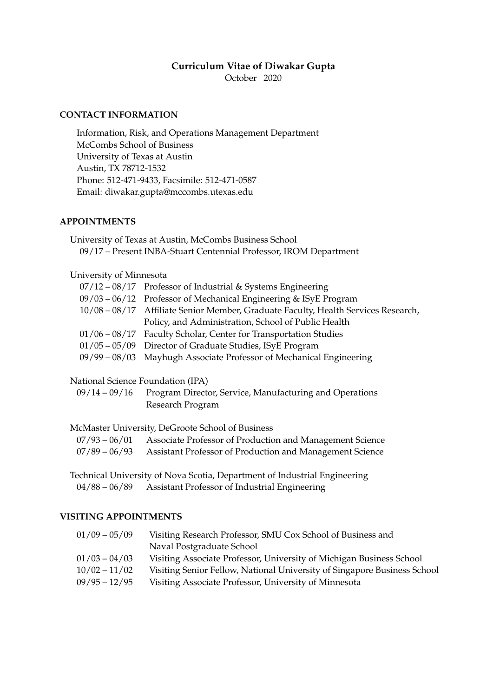# **Curriculum Vitae of Diwakar Gupta**

October 2020

# **CONTACT INFORMATION**

Information, Risk, and Operations Management Department McCombs School of Business University of Texas at Austin Austin, TX 78712-1532 Phone: 512-471-9433, Facsimile: 512-471-0587 Email: diwakar.gupta@mccombs.utexas.edu

## **APPOINTMENTS**

University of Texas at Austin, McCombs Business School 09/17 – Present INBA-Stuart Centennial Professor, IROM Department

### University of Minnesota

| $07/12 - 08/17$ Professor of Industrial & Systems Engineering                      |
|------------------------------------------------------------------------------------|
| $09/03 - 06/12$ Professor of Mechanical Engineering & ISyE Program                 |
| 10/08 – 08/17 Affiliate Senior Member, Graduate Faculty, Health Services Research, |
| Policy, and Administration, School of Public Health                                |
| $01/06 - 08/17$ Faculty Scholar, Center for Transportation Studies                 |
| $01/05 - 05/09$ Director of Graduate Studies, ISyE Program                         |
| 09/99 – 08/03 Mayhugh Associate Professor of Mechanical Engineering                |

# National Science Foundation (IPA)

09/14 – 09/16 Program Director, Service, Manufacturing and Operations Research Program

### McMaster University, DeGroote School of Business

| $07/93 - 06/01$ | Associate Professor of Production and Management Science               |
|-----------------|------------------------------------------------------------------------|
|                 | 07/89 – 06/93 Assistant Professor of Production and Management Science |

Technical University of Nova Scotia, Department of Industrial Engineering 04/88 – 06/89 Assistant Professor of Industrial Engineering

### **VISITING APPOINTMENTS**

| $01/09 - 05/09$ | Visiting Research Professor, SMU Cox School of Business and              |
|-----------------|--------------------------------------------------------------------------|
|                 | Naval Postgraduate School                                                |
| $01/03 - 04/03$ | Visiting Associate Professor, University of Michigan Business School     |
| $10/02 - 11/02$ | Visiting Senior Fellow, National University of Singapore Business School |
| $09/95 - 12/95$ | Visiting Associate Professor, University of Minnesota                    |
|                 |                                                                          |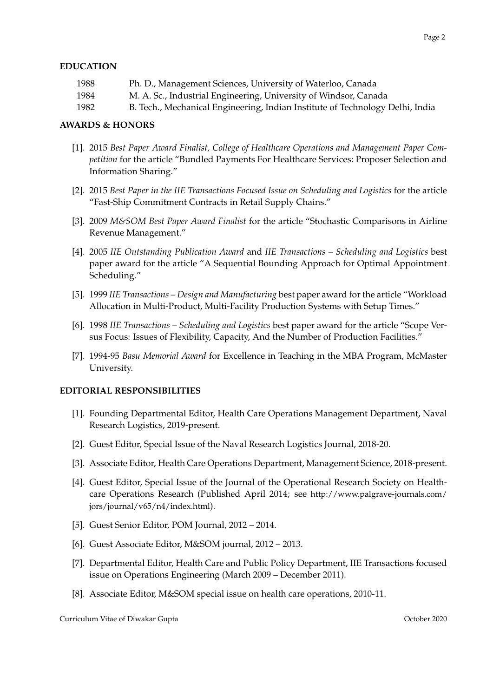# **EDUCATION**

1988 Ph. D., Management Sciences, University of Waterloo, Canada 1984 M. A. Sc., Industrial Engineering, University of Windsor, Canada 1982 B. Tech., Mechanical Engineering, Indian Institute of Technology Delhi, India

## **AWARDS & HONORS**

- [1]. 2015 *Best Paper Award Finalist, College of Healthcare Operations and Management Paper Competition* for the article "Bundled Payments For Healthcare Services: Proposer Selection and Information Sharing."
- [2]. 2015 *Best Paper in the IIE Transactions Focused Issue on Scheduling and Logistics* for the article "Fast-Ship Commitment Contracts in Retail Supply Chains."
- [3]. 2009 *M&SOM Best Paper Award Finalist* for the article "Stochastic Comparisons in Airline Revenue Management."
- [4]. 2005 *IIE Outstanding Publication Award* and *IIE Transactions Scheduling and Logistics* best paper award for the article "A Sequential Bounding Approach for Optimal Appointment Scheduling."
- [5]. 1999 *IIE Transactions Design and Manufacturing* best paper award for the article "Workload Allocation in Multi-Product, Multi-Facility Production Systems with Setup Times."
- [6]. 1998 *IIE Transactions Scheduling and Logistics* best paper award for the article "Scope Versus Focus: Issues of Flexibility, Capacity, And the Number of Production Facilities."
- [7]. 1994-95 *Basu Memorial Award* for Excellence in Teaching in the MBA Program, McMaster University.

### **EDITORIAL RESPONSIBILITIES**

- [1]. Founding Departmental Editor, Health Care Operations Management Department, Naval Research Logistics, 2019-present.
- [2]. Guest Editor, Special Issue of the Naval Research Logistics Journal, 2018-20.
- [3]. Associate Editor, Health Care Operations Department, Management Science, 2018-present.
- [4]. Guest Editor, Special Issue of the Journal of the Operational Research Society on Healthcare Operations Research (Published April 2014; see http://www.palgrave-journals.com/ jors/journal/v65/n4/index.html).
- [5]. Guest Senior Editor, POM Journal, 2012 2014.
- [6]. Guest Associate Editor, M&SOM journal, 2012 2013.
- [7]. Departmental Editor, Health Care and Public Policy Department, IIE Transactions focused issue on Operations Engineering (March 2009 – December 2011).
- [8]. Associate Editor, M&SOM special issue on health care operations, 2010-11.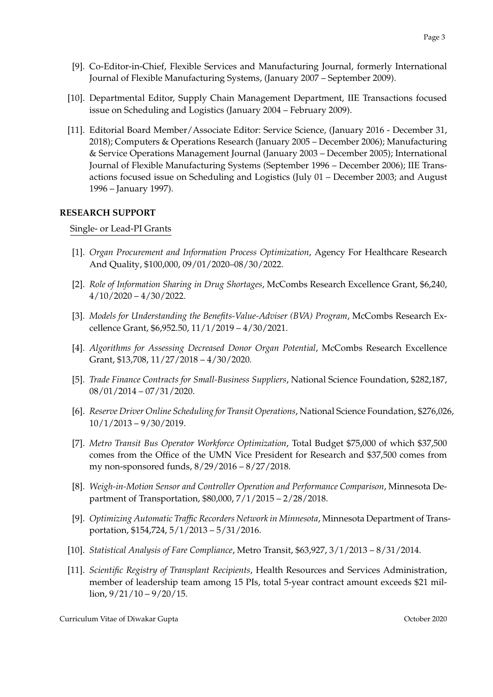- [9]. Co-Editor-in-Chief, Flexible Services and Manufacturing Journal, formerly International Journal of Flexible Manufacturing Systems, (January 2007 – September 2009).
- [10]. Departmental Editor, Supply Chain Management Department, IIE Transactions focused issue on Scheduling and Logistics (January 2004 – February 2009).
- [11]. Editorial Board Member/Associate Editor: Service Science, (January 2016 December 31, 2018); Computers & Operations Research (January 2005 – December 2006); Manufacturing & Service Operations Management Journal (January 2003 – December 2005); International Journal of Flexible Manufacturing Systems (September 1996 – December 2006); IIE Transactions focused issue on Scheduling and Logistics (July 01 – December 2003; and August 1996 – January 1997).

## **RESEARCH SUPPORT**

Single- or Lead-PI Grants

- [1]. *Organ Procurement and Information Process Optimization*, Agency For Healthcare Research And Quality, \$100,000, 09/01/2020–08/30/2022.
- [2]. *Role of Information Sharing in Drug Shortages*, McCombs Research Excellence Grant, \$6,240,  $4/10/2020 - 4/30/2022$ .
- [3]. *Models for Understanding the Benefits-Value-Adviser (BVA) Program*, McCombs Research Excellence Grant, \$6,952.50, 11/1/2019 – 4/30/2021.
- [4]. *Algorithms for Assessing Decreased Donor Organ Potential*, McCombs Research Excellence Grant, \$13,708, 11/27/2018 – 4/30/2020.
- [5]. *Trade Finance Contracts for Small-Business Suppliers*, National Science Foundation, \$282,187, 08/01/2014 – 07/31/2020.
- [6]. *Reserve Driver Online Scheduling for Transit Operations*, National Science Foundation, \$276,026, 10/1/2013 – 9/30/2019.
- [7]. *Metro Transit Bus Operator Workforce Optimization*, Total Budget \$75,000 of which \$37,500 comes from the Office of the UMN Vice President for Research and \$37,500 comes from my non-sponsored funds, 8/29/2016 – 8/27/2018.
- [8]. *Weigh-in-Motion Sensor and Controller Operation and Performance Comparison*, Minnesota Department of Transportation, \$80,000, 7/1/2015 – 2/28/2018.
- [9]. *Optimizing Automatic Traffic Recorders Network in Minnesota*, Minnesota Department of Transportation, \$154,724, 5/1/2013 – 5/31/2016.
- [10]. *Statistical Analysis of Fare Compliance*, Metro Transit, \$63,927, 3/1/2013 8/31/2014.
- [11]. *Scientific Registry of Transplant Recipients*, Health Resources and Services Administration, member of leadership team among 15 PIs, total 5-year contract amount exceeds \$21 mil- $\frac{\ln 9}{21}{10} - \frac{9}{20}{15}$ .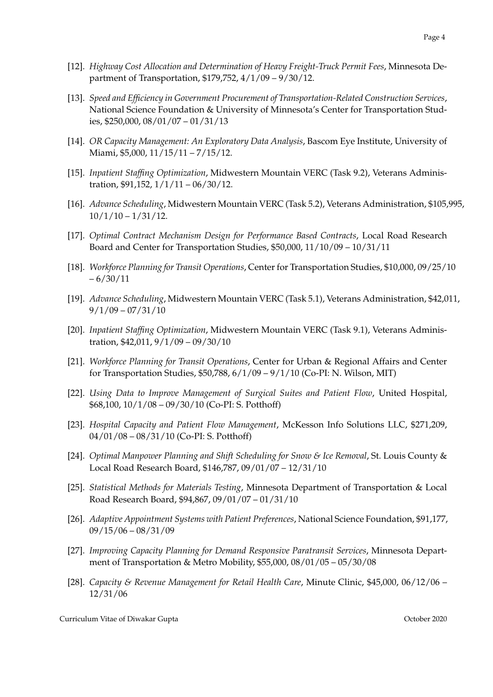- [12]. *Highway Cost Allocation and Determination of Heavy Freight-Truck Permit Fees*, Minnesota Department of Transportation, \$179,752, 4/1/09 – 9/30/12.
- [13]. *Speed and Efficiency in Government Procurement of Transportation-Related Construction Services*, National Science Foundation & University of Minnesota's Center for Transportation Studies, \$250,000, 08/01/07 – 01/31/13
- [14]. *OR Capacity Management: An Exploratory Data Analysis*, Bascom Eye Institute, University of Miami, \$5,000, 11/15/11 – 7/15/12.
- [15]. *Inpatient Staffing Optimization*, Midwestern Mountain VERC (Task 9.2), Veterans Administration, \$91,152, 1/1/11 – 06/30/12.
- [16]. *Advance Scheduling*, Midwestern Mountain VERC (Task 5.2), Veterans Administration, \$105,995,  $10/1/10 - 1/31/12$ .
- [17]. *Optimal Contract Mechanism Design for Performance Based Contracts*, Local Road Research Board and Center for Transportation Studies, \$50,000, 11/10/09 – 10/31/11
- [18]. *Workforce Planning for Transit Operations*, Center for Transportation Studies, \$10,000, 09/25/10  $-6/30/11$
- [19]. *Advance Scheduling*, Midwestern Mountain VERC (Task 5.1), Veterans Administration, \$42,011,  $9/1/09 - 07/31/10$
- [20]. *Inpatient Staffing Optimization*, Midwestern Mountain VERC (Task 9.1), Veterans Administration, \$42,011, 9/1/09 – 09/30/10
- [21]. *Workforce Planning for Transit Operations*, Center for Urban & Regional Affairs and Center for Transportation Studies, \$50,788, 6/1/09 – 9/1/10 (Co-PI: N. Wilson, MIT)
- [22]. *Using Data to Improve Management of Surgical Suites and Patient Flow*, United Hospital, \$68,100, 10/1/08 – 09/30/10 (Co-PI: S. Potthoff)
- [23]. *Hospital Capacity and Patient Flow Management*, McKesson Info Solutions LLC, \$271,209, 04/01/08 – 08/31/10 (Co-PI: S. Potthoff)
- [24]. *Optimal Manpower Planning and Shift Scheduling for Snow & Ice Removal*, St. Louis County & Local Road Research Board, \$146,787, 09/01/07 – 12/31/10
- [25]. *Statistical Methods for Materials Testing*, Minnesota Department of Transportation & Local Road Research Board, \$94,867, 09/01/07 – 01/31/10
- [26]. *Adaptive Appointment Systems with Patient Preferences*, National Science Foundation, \$91,177, 09/15/06 – 08/31/09
- [27]. *Improving Capacity Planning for Demand Responsive Paratransit Services*, Minnesota Department of Transportation & Metro Mobility, \$55,000, 08/01/05 – 05/30/08
- [28]. *Capacity & Revenue Management for Retail Health Care*, Minute Clinic, \$45,000, 06/12/06 12/31/06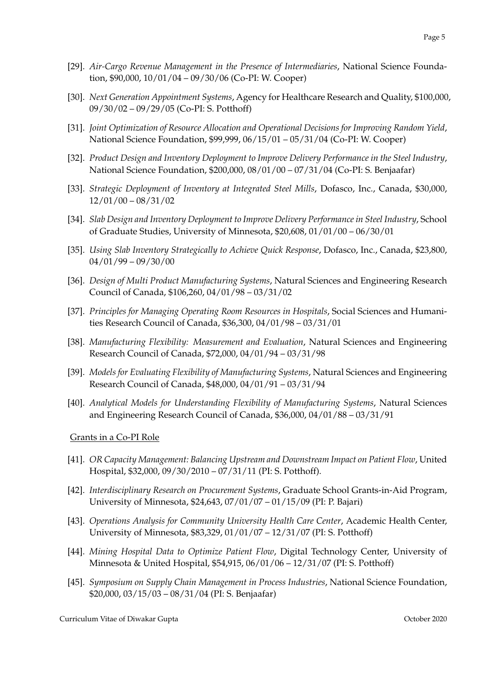- [29]. *Air-Cargo Revenue Management in the Presence of Intermediaries*, National Science Foundation, \$90,000, 10/01/04 – 09/30/06 (Co-PI: W. Cooper)
- [30]. *Next Generation Appointment Systems*, Agency for Healthcare Research and Quality, \$100,000, 09/30/02 – 09/29/05 (Co-PI: S. Potthoff)
- [31]. *Joint Optimization of Resource Allocation and Operational Decisions for Improving Random Yield*, National Science Foundation, \$99,999, 06/15/01 – 05/31/04 (Co-PI: W. Cooper)
- [32]. *Product Design and Inventory Deployment to Improve Delivery Performance in the Steel Industry*, National Science Foundation, \$200,000, 08/01/00 – 07/31/04 (Co-PI: S. Benjaafar)
- [33]. *Strategic Deployment of Inventory at Integrated Steel Mills*, Dofasco, Inc., Canada, \$30,000, 12/01/00 – 08/31/02
- [34]. *Slab Design and Inventory Deployment to Improve Delivery Performance in Steel Industry*, School of Graduate Studies, University of Minnesota, \$20,608, 01/01/00 – 06/30/01
- [35]. *Using Slab Inventory Strategically to Achieve Quick Response*, Dofasco, Inc., Canada, \$23,800, 04/01/99 – 09/30/00
- [36]. *Design of Multi Product Manufacturing Systems*, Natural Sciences and Engineering Research Council of Canada, \$106,260, 04/01/98 – 03/31/02
- [37]. *Principles for Managing Operating Room Resources in Hospitals*, Social Sciences and Humanities Research Council of Canada, \$36,300, 04/01/98 – 03/31/01
- [38]. *Manufacturing Flexibility: Measurement and Evaluation*, Natural Sciences and Engineering Research Council of Canada, \$72,000, 04/01/94 – 03/31/98
- [39]. *Models for Evaluating Flexibility of Manufacturing Systems*, Natural Sciences and Engineering Research Council of Canada, \$48,000, 04/01/91 – 03/31/94
- [40]. *Analytical Models for Understanding Flexibility of Manufacturing Systems*, Natural Sciences and Engineering Research Council of Canada, \$36,000, 04/01/88 – 03/31/91

### Grants in a Co-PI Role

- [41]. *OR Capacity Management: Balancing Upstream and Downstream Impact on Patient Flow*, United Hospital, \$32,000, 09/30/2010 – 07/31/11 (PI: S. Potthoff).
- [42]. *Interdisciplinary Research on Procurement Systems*, Graduate School Grants-in-Aid Program, University of Minnesota, \$24,643, 07/01/07 – 01/15/09 (PI: P. Bajari)
- [43]. *Operations Analysis for Community University Health Care Center*, Academic Health Center, University of Minnesota, \$83,329, 01/01/07 – 12/31/07 (PI: S. Potthoff)
- [44]. *Mining Hospital Data to Optimize Patient Flow*, Digital Technology Center, University of Minnesota & United Hospital, \$54,915, 06/01/06 – 12/31/07 (PI: S. Potthoff)
- [45]. *Symposium on Supply Chain Management in Process Industries*, National Science Foundation, \$20,000, 03/15/03 – 08/31/04 (PI: S. Benjaafar)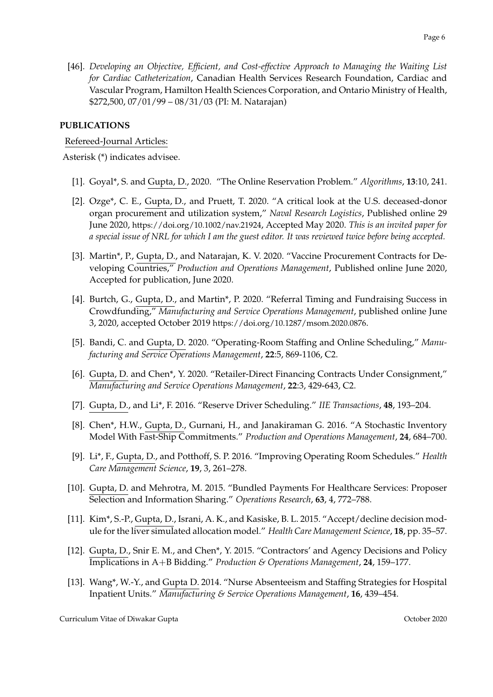[46]. *Developing an Objective, Efficient, and Cost-effective Approach to Managing the Waiting List for Cardiac Catheterization*, Canadian Health Services Research Foundation, Cardiac and Vascular Program, Hamilton Health Sciences Corporation, and Ontario Ministry of Health, \$272,500, 07/01/99 – 08/31/03 (PI: M. Natarajan)

# **PUBLICATIONS**

## Refereed-Journal Articles:

Asterisk (\*) indicates advisee.

- [1]. Goyal\*, S. and Gupta, D., 2020. "The Online Reservation Problem." *Algorithms*, **13**:10, 241.
- [2]. Ozge\*, C. E., Gupta, D., and Pruett, T. 2020. "A critical look at the U.S. deceased-donor organ procurement and utilization system," *Naval Research Logistics*, Published online 29 June 2020, https://doi.org/10.1002/nav.21924, Accepted May 2020. *This is an invited paper for a special issue of NRL for which I am the guest editor. It was reviewed twice before being accepted.*
- [3]. Martin\*, P., Gupta, D., and Natarajan, K. V. 2020. "Vaccine Procurement Contracts for Developing Countries," *Production and Operations Management*, Published online June 2020, Accepted for publication, June 2020.
- [4]. Burtch, G., Gupta, D., and Martin\*, P. 2020. "Referral Timing and Fundraising Success in Crowdfunding," *Manufacturing and Service Operations Management*, published online June 3, 2020, accepted October 2019 https://doi.org/10.1287/msom.2020.0876.
- [5]. Bandi, C. and Gupta, D. 2020. "Operating-Room Staffing and Online Scheduling," *Manufacturing and Service Operations Management*, **22**:5, 869-1106, C2.
- [6]. Gupta, D. and Chen\*, Y. 2020. "Retailer-Direct Financing Contracts Under Consignment," *Manufacturing and Service Operations Management*, **22**:3, 429-643, C2.
- [7]. Gupta, D., and Li\*, F. 2016. "Reserve Driver Scheduling." *IIE Transactions*, **48**, 193–204.
- [8]. Chen\*, H.W., Gupta, D., Gurnani, H., and Janakiraman G. 2016. "A Stochastic Inventory Model With Fast-Ship Commitments." *Production and Operations Management*, **24**, 684–700.
- [9]. Li\*, F., Gupta, D., and Potthoff, S. P. 2016. "Improving Operating Room Schedules." *Health Care Management Science*, **19**, 3, 261–278.
- [10]. Gupta, D. and Mehrotra, M. 2015. "Bundled Payments For Healthcare Services: Proposer Selection and Information Sharing." *Operations Research*, **63**, 4, 772–788.
- [11]. Kim\*, S.-P., Gupta, D., Israni, A. K., and Kasiske, B. L. 2015. "Accept/decline decision module for the liver simulated allocation model." *Health Care Management Science*, **18**, pp. 35–57.
- [12]. Gupta, D., Snir E. M., and Chen\*, Y. 2015. "Contractors' and Agency Decisions and Policy Implications in A+B Bidding." *Production & Operations Management*, **24**, 159–177.
- [13]. Wang\*, W.-Y., and Gupta D. 2014. "Nurse Absenteeism and Staffing Strategies for Hospital Inpatient Units." *Manufacturing & Service Operations Management*, **16**, 439–454.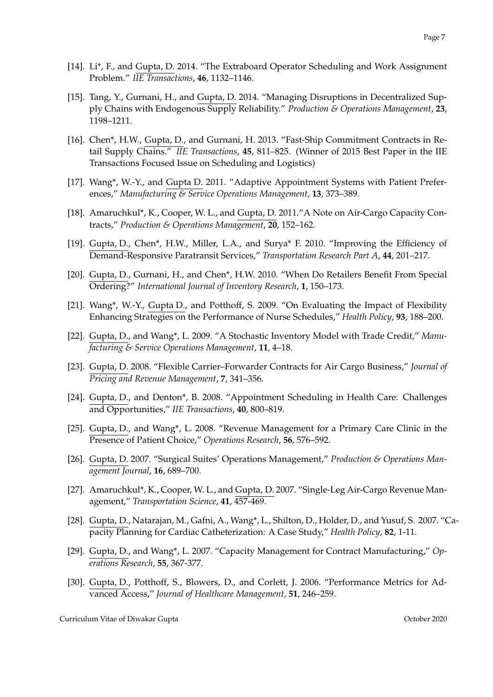- [14]. Li\*, F., and Gupta, D. 2014. "The Extraboard Operator Scheduling and Work Assignment Problem." *IIE Transactions*, **46**, 1132–1146.
- [15]. Tang, Y., Gurnani, H., and Gupta, D. 2014. "Managing Disruptions in Decentralized Supply Chains with Endogenous Supply Reliability." *Production & Operations Management*, **23**, 1198–1211.
- [16]. Chen\*, H.W., Gupta, D., and Gurnani, H. 2013. "Fast-Ship Commitment Contracts in Retail Supply Chains." *IIE Transactions*, **45**, 811–825. (Winner of 2015 Best Paper in the IIE Transactions Focused Issue on Scheduling and Logistics)
- [17]. Wang\*, W.-Y., and Gupta D. 2011. "Adaptive Appointment Systems with Patient Preferences," *Manufacturing & Service Operations Management*, **13**, 373–389.
- [18]. Amaruchkul\*, K., Cooper, W. L., and Gupta, D. 2011."A Note on Air-Cargo Capacity Contracts," *Production & Operations Management*, **20**, 152–162.
- [19]. Gupta, D., Chen\*, H.W., Miller, L.A., and Surya\* F. 2010. "Improving the Efficiency of Demand-Responsive Paratransit Services," *Transportation Research Part A*, **44**, 201–217.
- [20]. Gupta, D., Gurnani, H., and Chen\*, H.W. 2010. "When Do Retailers Benefit From Special Ordering?" *International Journal of Inventory Research*, **1**, 150–173.
- [21]. Wang\*, W.-Y., Gupta D., and Potthoff, S. 2009. "On Evaluating the Impact of Flexibility Enhancing Strategies on the Performance of Nurse Schedules," *Health Policy*, **93**, 188–200.
- [22]. Gupta, D., and Wang\*, L. 2009. "A Stochastic Inventory Model with Trade Credit," *Manufacturing & Service Operations Management*, **11**, 4–18.
- [23]. Gupta, D. 2008. "Flexible Carrier–Forwarder Contracts for Air Cargo Business," *Journal of Pricing and Revenue Management*, **7**, 341–356.
- [24]. Gupta, D., and Denton\*, B. 2008. "Appointment Scheduling in Health Care: Challenges and Opportunities," *IIE Transactions*, **40**, 800–819.
- [25]. Gupta, D., and Wang\*, L. 2008. "Revenue Management for a Primary Care Clinic in the Presence of Patient Choice," *Operations Research*, **56**, 576–592.
- [26]. Gupta, D. 2007. "Surgical Suites' Operations Management," *Production & Operations Management Journal*, **16**, 689–700.
- [27]. Amaruchkul\*, K., Cooper, W. L., and Gupta, D. 2007. "Single-Leg Air-Cargo Revenue Management," *Transportation Science*, **41**, 457-469.
- [28]. Gupta, D., Natarajan, M., Gafni, A., Wang\*, L., Shilton, D., Holder, D., and Yusuf, S. 2007. "Capacity Planning for Cardiac Catheterization: A Case Study," *Health Policy*, **82**, 1-11.
- [29]. Gupta, D., and Wang\*, L. 2007. "Capacity Management for Contract Manufacturing," *Operations Research*, **55**, 367-377.
- [30]. Gupta, D., Potthoff, S., Blowers, D., and Corlett, J. 2006. "Performance Metrics for Advanced Access," *Journal of Healthcare Management*, **51**, 246–259.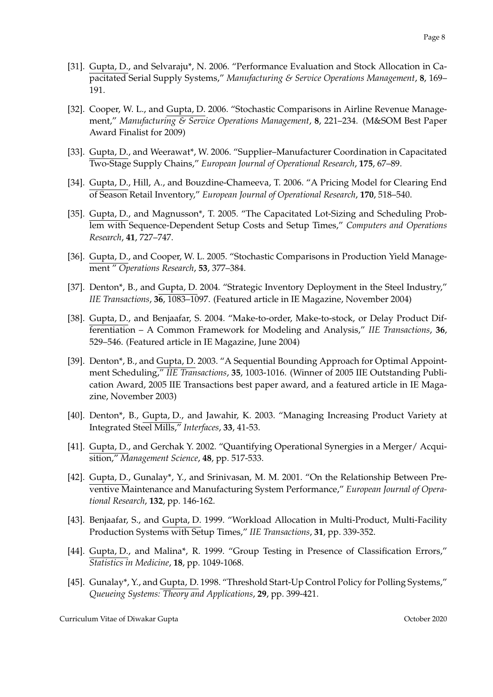- [31]. Gupta, D., and Selvaraju\*, N. 2006. "Performance Evaluation and Stock Allocation in Capacitated Serial Supply Systems," *Manufacturing & Service Operations Management*, **8**, 169– 191.
- [32]. Cooper, W. L., and Gupta, D. 2006. "Stochastic Comparisons in Airline Revenue Management," *Manufacturing & Service Operations Management*, **8**, 221–234. (M&SOM Best Paper Award Finalist for 2009)
- [33]. Gupta, D., and Weerawat\*, W. 2006. "Supplier–Manufacturer Coordination in Capacitated Two-Stage Supply Chains," *European Journal of Operational Research*, **175**, 67–89.
- [34]. Gupta, D., Hill, A., and Bouzdine-Chameeva, T. 2006. "A Pricing Model for Clearing End of Season Retail Inventory," *European Journal of Operational Research*, **170**, 518–540.
- [35]. Gupta, D., and Magnusson\*, T. 2005. "The Capacitated Lot-Sizing and Scheduling Problem with Sequence-Dependent Setup Costs and Setup Times," *Computers and Operations Research*, **41**, 727–747.
- [36]. Gupta, D., and Cooper, W. L. 2005. "Stochastic Comparisons in Production Yield Management " *Operations Research*, **53**, 377–384.
- [37]. Denton\*, B., and Gupta, D. 2004. "Strategic Inventory Deployment in the Steel Industry," *IIE Transactions*, **36**, 1083–1097. (Featured article in IE Magazine, November 2004)
- [38]. Gupta, D., and Benjaafar, S. 2004. "Make-to-order, Make-to-stock, or Delay Product Differentiation – A Common Framework for Modeling and Analysis," *IIE Transactions*, **36**, 529–546. (Featured article in IE Magazine, June 2004)
- [39]. Denton\*, B., and Gupta, D. 2003. "A Sequential Bounding Approach for Optimal Appointment Scheduling," *IIE Transactions*, **35**, 1003-1016. (Winner of 2005 IIE Outstanding Publication Award, 2005 IIE Transactions best paper award, and a featured article in IE Magazine, November 2003)
- [40]. Denton\*, B., Gupta, D., and Jawahir, K. 2003. "Managing Increasing Product Variety at Integrated Steel Mills," *Interfaces*, **33**, 41-53.
- [41]. Gupta, D., and Gerchak Y. 2002. "Quantifying Operational Synergies in a Merger/ Acquisition," *Management Science*, **48**, pp. 517-533.
- [42]. Gupta, D., Gunalay\*, Y., and Srinivasan, M. M. 2001. "On the Relationship Between Preventive Maintenance and Manufacturing System Performance," *European Journal of Operational Research*, **132**, pp. 146-162.
- [43]. Benjaafar, S., and Gupta, D. 1999. "Workload Allocation in Multi-Product, Multi-Facility Production Systems with Setup Times," *IIE Transactions*, **31**, pp. 339-352.
- [44]. Gupta, D., and Malina\*, R. 1999. "Group Testing in Presence of Classification Errors," *Statistics in Medicine*, **18**, pp. 1049-1068.
- [45]. Gunalay\*, Y., and Gupta, D. 1998. "Threshold Start-Up Control Policy for Polling Systems," *Queueing Systems: Theory and Applications*, **29**, pp. 399-421.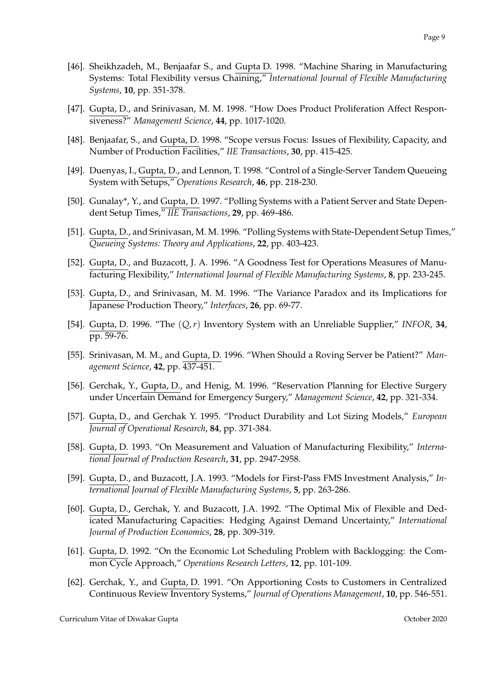- [46]. Sheikhzadeh, M., Benjaafar S., and Gupta D. 1998. "Machine Sharing in Manufacturing Systems: Total Flexibility versus Chaining," *International Journal of Flexible Manufacturing Systems*, **10**, pp. 351-378.
- [47]. Gupta, D., and Srinivasan, M. M. 1998. "How Does Product Proliferation Affect Responsiveness?" *Management Science*, **44**, pp. 1017-1020.
- [48]. Benjaafar, S., and Gupta, D. 1998. "Scope versus Focus: Issues of Flexibility, Capacity, and Number of Production Facilities," *IIE Transactions*, **30**, pp. 415-425.
- [49]. Duenyas, I., Gupta, D., and Lennon, T. 1998. "Control of a Single-Server Tandem Queueing System with Setups," *Operations Research*, **46**, pp. 218-230.
- [50]. Gunalay\*, Y., and Gupta, D. 1997. "Polling Systems with a Patient Server and State Dependent Setup Times," *IIE Transactions*, **29**, pp. 469-486.
- [51]. Gupta, D., and Srinivasan, M. M. 1996. "Polling Systems with State-Dependent Setup Times," *Queueing Systems: Theory and Applications*, **22**, pp. 403-423.
- [52]. Gupta, D., and Buzacott, J. A. 1996. "A Goodness Test for Operations Measures of Manufacturing Flexibility," *International Journal of Flexible Manufacturing Systems*, **8**, pp. 233-245.
- [53]. Gupta, D., and Srinivasan, M. M. 1996. "The Variance Paradox and its Implications for Japanese Production Theory," *Interfaces*, **26**, pp. 69-77.
- [54]. Gupta, D. 1996. "The (*Q*,*r*) Inventory System with an Unreliable Supplier," *INFOR*, **34**, pp. 59-76.
- [55]. Srinivasan, M. M., and Gupta, D. 1996. "When Should a Roving Server be Patient?" *Management Science*, **42**, pp. 437-451.
- [56]. Gerchak, Y., Gupta, D., and Henig, M. 1996. "Reservation Planning for Elective Surgery under Uncertain Demand for Emergency Surgery," *Management Science*, **42**, pp. 321-334.
- [57]. Gupta, D., and Gerchak Y. 1995. "Product Durability and Lot Sizing Models," *European Journal of Operational Research*, **84**, pp. 371-384.
- [58]. Gupta, D. 1993. "On Measurement and Valuation of Manufacturing Flexibility," *International Journal of Production Research*, **31**, pp. 2947-2958.
- [59]. Gupta, D., and Buzacott, J.A. 1993. "Models for First-Pass FMS Investment Analysis," *International Journal of Flexible Manufacturing Systems*, **5**, pp. 263-286.
- [60]. Gupta, D., Gerchak, Y. and Buzacott, J.A. 1992. "The Optimal Mix of Flexible and Dedicated Manufacturing Capacities: Hedging Against Demand Uncertainty," *International Journal of Production Economics*, **28**, pp. 309-319.
- [61]. Gupta, D. 1992. "On the Economic Lot Scheduling Problem with Backlogging: the Common Cycle Approach," *Operations Research Letters*, **12**, pp. 101-109.
- [62]. Gerchak, Y., and Gupta, D. 1991. "On Apportioning Costs to Customers in Centralized Continuous Review Inventory Systems," *Journal of Operations Management*, **10**, pp. 546-551.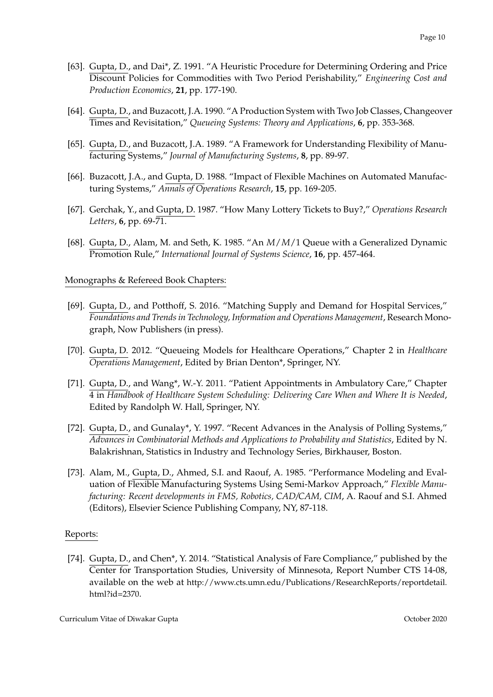- [63]. Gupta, D., and Dai\*, Z. 1991. "A Heuristic Procedure for Determining Ordering and Price Discount Policies for Commodities with Two Period Perishability," *Engineering Cost and Production Economics*, **21**, pp. 177-190.
- [64]. Gupta, D., and Buzacott, J.A. 1990. "A Production System with Two Job Classes, Changeover Times and Revisitation," *Queueing Systems: Theory and Applications*, **6**, pp. 353-368.
- [65]. Gupta, D., and Buzacott, J.A. 1989. "A Framework for Understanding Flexibility of Manufacturing Systems," *Journal of Manufacturing Systems*, **8**, pp. 89-97.
- [66]. Buzacott, J.A., and Gupta, D. 1988. "Impact of Flexible Machines on Automated Manufacturing Systems," *Annals of Operations Research*, **15**, pp. 169-205.
- [67]. Gerchak, Y., and Gupta, D. 1987. "How Many Lottery Tickets to Buy?," *Operations Research Letters*, **6**, pp. 69-71.
- [68]. Gupta, D., Alam, M. and Seth, K. 1985. "An *M*/*M*/1 Queue with a Generalized Dynamic Promotion Rule," *International Journal of Systems Science*, **16**, pp. 457-464.

## Monographs & Refereed Book Chapters:

- [69]. Gupta, D., and Potthoff, S. 2016. "Matching Supply and Demand for Hospital Services," *Foundations and Trends in Technology, Information and Operations Management*, Research Monograph, Now Publishers (in press).
- [70]. Gupta, D. 2012. "Queueing Models for Healthcare Operations," Chapter 2 in *Healthcare Operations Management*, Edited by Brian Denton\*, Springer, NY.
- [71]. Gupta, D., and Wang\*, W.-Y. 2011. "Patient Appointments in Ambulatory Care," Chapter 4 in *Handbook of Healthcare System Scheduling: Delivering Care When and Where It is Needed*, Edited by Randolph W. Hall, Springer, NY.
- [72]. Gupta, D., and Gunalay\*, Y. 1997. "Recent Advances in the Analysis of Polling Systems," *Advances in Combinatorial Methods and Applications to Probability and Statistics*, Edited by N. Balakrishnan, Statistics in Industry and Technology Series, Birkhauser, Boston.
- [73]. Alam, M., Gupta, D., Ahmed, S.I. and Raouf, A. 1985. "Performance Modeling and Evaluation of Flexible Manufacturing Systems Using Semi-Markov Approach," *Flexible Manufacturing: Recent developments in FMS, Robotics, CAD/CAM, CIM*, A. Raouf and S.I. Ahmed (Editors), Elsevier Science Publishing Company, NY, 87-118.

### Reports:

[74]. Gupta, D., and Chen\*, Y. 2014. "Statistical Analysis of Fare Compliance," published by the Center for Transportation Studies, University of Minnesota, Report Number CTS 14-08, available on the web at http://www.cts.umn.edu/Publications/ResearchReports/reportdetail. html?id=2370.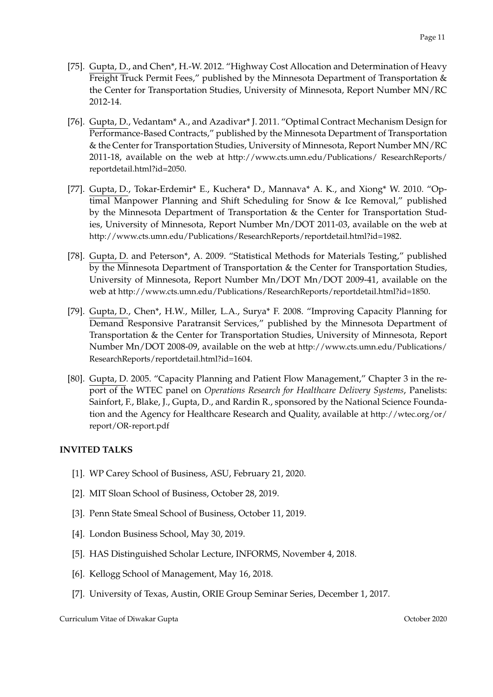- [75]. Gupta, D., and Chen\*, H.-W. 2012. "Highway Cost Allocation and Determination of Heavy Freight Truck Permit Fees," published by the Minnesota Department of Transportation & the Center for Transportation Studies, University of Minnesota, Report Number MN/RC 2012-14.
- [76]. Gupta, D., Vedantam\* A., and Azadivar\* J. 2011. "Optimal Contract Mechanism Design for Performance-Based Contracts," published by the Minnesota Department of Transportation & the Center for Transportation Studies, University of Minnesota, Report Number MN/RC 2011-18, available on the web at http://www.cts.umn.edu/Publications/ ResearchReports/ reportdetail.html?id=2050.
- [77]. Gupta, D., Tokar-Erdemir\* E., Kuchera\* D., Mannava\* A. K., and Xiong\* W. 2010. "Optimal Manpower Planning and Shift Scheduling for Snow & Ice Removal," published by the Minnesota Department of Transportation & the Center for Transportation Studies, University of Minnesota, Report Number Mn/DOT 2011-03, available on the web at http://www.cts.umn.edu/Publications/ResearchReports/reportdetail.html?id=1982.
- [78]. Gupta, D. and Peterson\*, A. 2009. "Statistical Methods for Materials Testing," published by the Minnesota Department of Transportation & the Center for Transportation Studies, University of Minnesota, Report Number Mn/DOT Mn/DOT 2009-41, available on the web at http://www.cts.umn.edu/Publications/ResearchReports/reportdetail.html?id=1850.
- [79]. Gupta, D., Chen\*, H.W., Miller, L.A., Surya\* F. 2008. "Improving Capacity Planning for Demand Responsive Paratransit Services," published by the Minnesota Department of Transportation & the Center for Transportation Studies, University of Minnesota, Report Number Mn/DOT 2008-09, available on the web at http://www.cts.umn.edu/Publications/ ResearchReports/reportdetail.html?id=1604.
- [80]. Gupta, D. 2005. "Capacity Planning and Patient Flow Management," Chapter 3 in the report of the WTEC panel on *Operations Research for Healthcare Delivery Systems*, Panelists: Sainfort, F., Blake, J., Gupta, D., and Rardin R., sponsored by the National Science Foundation and the Agency for Healthcare Research and Quality, available at http://wtec.org/or/ report/OR-report.pdf

# **INVITED TALKS**

- [1]. WP Carey School of Business, ASU, February 21, 2020.
- [2]. MIT Sloan School of Business, October 28, 2019.
- [3]. Penn State Smeal School of Business, October 11, 2019.
- [4]. London Business School, May 30, 2019.
- [5]. HAS Distinguished Scholar Lecture, INFORMS, November 4, 2018.
- [6]. Kellogg School of Management, May 16, 2018.
- [7]. University of Texas, Austin, ORIE Group Seminar Series, December 1, 2017.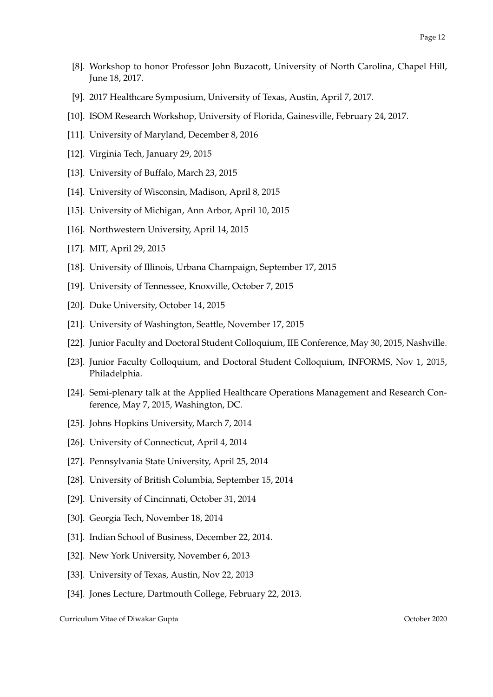- [8]. Workshop to honor Professor John Buzacott, University of North Carolina, Chapel Hill, June 18, 2017.
- [9]. 2017 Healthcare Symposium, University of Texas, Austin, April 7, 2017.
- [10]. ISOM Research Workshop, University of Florida, Gainesville, February 24, 2017.
- [11]. University of Maryland, December 8, 2016
- [12]. Virginia Tech, January 29, 2015
- [13]. University of Buffalo, March 23, 2015
- [14]. University of Wisconsin, Madison, April 8, 2015
- [15]. University of Michigan, Ann Arbor, April 10, 2015
- [16]. Northwestern University, April 14, 2015
- [17]. MIT, April 29, 2015
- [18]. University of Illinois, Urbana Champaign, September 17, 2015
- [19]. University of Tennessee, Knoxville, October 7, 2015
- [20]. Duke University, October 14, 2015
- [21]. University of Washington, Seattle, November 17, 2015
- [22]. Junior Faculty and Doctoral Student Colloquium, IIE Conference, May 30, 2015, Nashville.
- [23]. Junior Faculty Colloquium, and Doctoral Student Colloquium, INFORMS, Nov 1, 2015, Philadelphia.
- [24]. Semi-plenary talk at the Applied Healthcare Operations Management and Research Conference, May 7, 2015, Washington, DC.
- [25]. Johns Hopkins University, March 7, 2014
- [26]. University of Connecticut, April 4, 2014
- [27]. Pennsylvania State University, April 25, 2014
- [28]. University of British Columbia, September 15, 2014
- [29]. University of Cincinnati, October 31, 2014
- [30]. Georgia Tech, November 18, 2014
- [31]. Indian School of Business, December 22, 2014.
- [32]. New York University, November 6, 2013
- [33]. University of Texas, Austin, Nov 22, 2013
- [34]. Jones Lecture, Dartmouth College, February 22, 2013.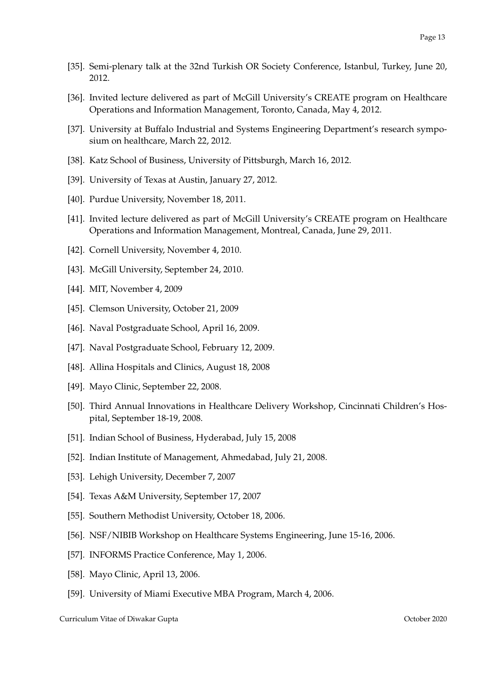- [35]. Semi-plenary talk at the 32nd Turkish OR Society Conference, Istanbul, Turkey, June 20, 2012.
- [36]. Invited lecture delivered as part of McGill University's CREATE program on Healthcare Operations and Information Management, Toronto, Canada, May 4, 2012.
- [37]. University at Buffalo Industrial and Systems Engineering Department's research symposium on healthcare, March 22, 2012.
- [38]. Katz School of Business, University of Pittsburgh, March 16, 2012.
- [39]. University of Texas at Austin, January 27, 2012.
- [40]. Purdue University, November 18, 2011.
- [41]. Invited lecture delivered as part of McGill University's CREATE program on Healthcare Operations and Information Management, Montreal, Canada, June 29, 2011.
- [42]. Cornell University, November 4, 2010.
- [43]. McGill University, September 24, 2010.
- [44]. MIT, November 4, 2009
- [45]. Clemson University, October 21, 2009
- [46]. Naval Postgraduate School, April 16, 2009.
- [47]. Naval Postgraduate School, February 12, 2009.
- [48]. Allina Hospitals and Clinics, August 18, 2008
- [49]. Mayo Clinic, September 22, 2008.
- [50]. Third Annual Innovations in Healthcare Delivery Workshop, Cincinnati Children's Hospital, September 18-19, 2008.
- [51]. Indian School of Business, Hyderabad, July 15, 2008
- [52]. Indian Institute of Management, Ahmedabad, July 21, 2008.
- [53]. Lehigh University, December 7, 2007
- [54]. Texas A&M University, September 17, 2007
- [55]. Southern Methodist University, October 18, 2006.
- [56]. NSF/NIBIB Workshop on Healthcare Systems Engineering, June 15-16, 2006.
- [57]. INFORMS Practice Conference, May 1, 2006.
- [58]. Mayo Clinic, April 13, 2006.
- [59]. University of Miami Executive MBA Program, March 4, 2006.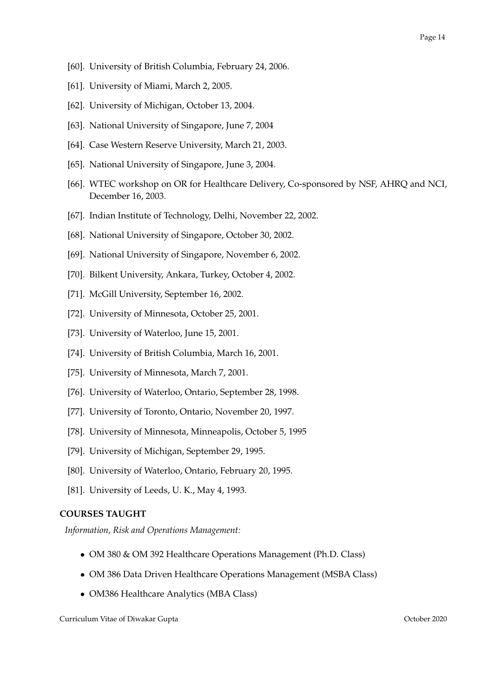- [60]. University of British Columbia, February 24, 2006.
- [61]. University of Miami, March 2, 2005.
- [62]. University of Michigan, October 13, 2004.
- [63]. National University of Singapore, June 7, 2004
- [64]. Case Western Reserve University, March 21, 2003.
- [65]. National University of Singapore, June 3, 2004.
- [66]. WTEC workshop on OR for Healthcare Delivery, Co-sponsored by NSF, AHRQ and NCI, December 16, 2003.
- [67]. Indian Institute of Technology, Delhi, November 22, 2002.
- [68]. National University of Singapore, October 30, 2002.
- [69]. National University of Singapore, November 6, 2002.
- [70]. Bilkent University, Ankara, Turkey, October 4, 2002.
- [71]. McGill University, September 16, 2002.
- [72]. University of Minnesota, October 25, 2001.
- [73]. University of Waterloo, June 15, 2001.
- [74]. University of British Columbia, March 16, 2001.
- [75]. University of Minnesota, March 7, 2001.
- [76]. University of Waterloo, Ontario, September 28, 1998.
- [77]. University of Toronto, Ontario, November 20, 1997.
- [78]. University of Minnesota, Minneapolis, October 5, 1995
- [79]. University of Michigan, September 29, 1995.
- [80]. University of Waterloo, Ontario, February 20, 1995.
- [81]. University of Leeds, U. K., May 4, 1993.

# **COURSES TAUGHT**

*Information, Risk and Operations Management:*

- OM 380 & OM 392 Healthcare Operations Management (Ph.D. Class)
- OM 386 Data Driven Healthcare Operations Management (MSBA Class)
- OM386 Healthcare Analytics (MBA Class)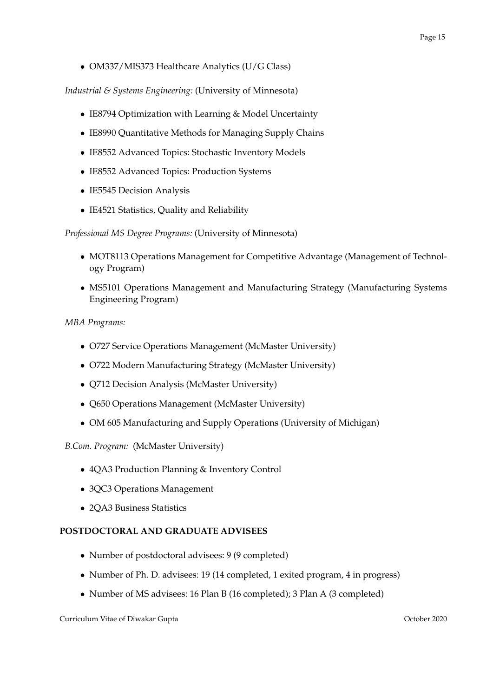• OM337/MIS373 Healthcare Analytics (U/G Class)

*Industrial & Systems Engineering:* (University of Minnesota)

- IE8794 Optimization with Learning & Model Uncertainty
- IE8990 Quantitative Methods for Managing Supply Chains
- IE8552 Advanced Topics: Stochastic Inventory Models
- IE8552 Advanced Topics: Production Systems
- IE5545 Decision Analysis
- IE4521 Statistics, Quality and Reliability

*Professional MS Degree Programs:* (University of Minnesota)

- MOT8113 Operations Management for Competitive Advantage (Management of Technology Program)
- MS5101 Operations Management and Manufacturing Strategy (Manufacturing Systems Engineering Program)

# *MBA Programs:*

- O727 Service Operations Management (McMaster University)
- O722 Modern Manufacturing Strategy (McMaster University)
- Q712 Decision Analysis (McMaster University)
- Q650 Operations Management (McMaster University)
- OM 605 Manufacturing and Supply Operations (University of Michigan)

# *B.Com. Program:* (McMaster University)

- 4QA3 Production Planning & Inventory Control
- 3QC3 Operations Management
- 2QA3 Business Statistics

# **POSTDOCTORAL AND GRADUATE ADVISEES**

- Number of postdoctoral advisees: 9 (9 completed)
- Number of Ph. D. advisees: 19 (14 completed, 1 exited program, 4 in progress)
- Number of MS advisees: 16 Plan B (16 completed); 3 Plan A (3 completed)

Page 15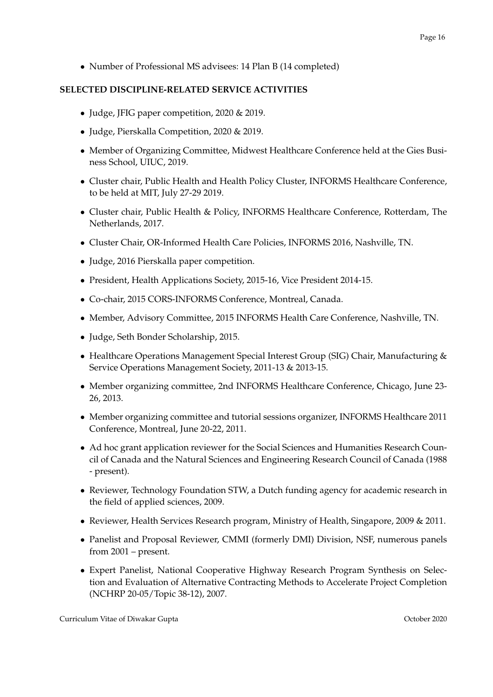• Number of Professional MS advisees: 14 Plan B (14 completed)

# **SELECTED DISCIPLINE-RELATED SERVICE ACTIVITIES**

- Judge, JFIG paper competition, 2020 & 2019.
- Judge, Pierskalla Competition, 2020 & 2019.
- Member of Organizing Committee, Midwest Healthcare Conference held at the Gies Business School, UIUC, 2019.
- Cluster chair, Public Health and Health Policy Cluster, INFORMS Healthcare Conference, to be held at MIT, July 27-29 2019.
- Cluster chair, Public Health & Policy, INFORMS Healthcare Conference, Rotterdam, The Netherlands, 2017.
- Cluster Chair, OR-Informed Health Care Policies, INFORMS 2016, Nashville, TN.
- Judge, 2016 Pierskalla paper competition.
- President, Health Applications Society, 2015-16, Vice President 2014-15.
- Co-chair, 2015 CORS-INFORMS Conference, Montreal, Canada.
- Member, Advisory Committee, 2015 INFORMS Health Care Conference, Nashville, TN.
- Judge, Seth Bonder Scholarship, 2015.
- Healthcare Operations Management Special Interest Group (SIG) Chair, Manufacturing & Service Operations Management Society, 2011-13 & 2013-15.
- Member organizing committee, 2nd INFORMS Healthcare Conference, Chicago, June 23- 26, 2013.
- Member organizing committee and tutorial sessions organizer, INFORMS Healthcare 2011 Conference, Montreal, June 20-22, 2011.
- Ad hoc grant application reviewer for the Social Sciences and Humanities Research Council of Canada and the Natural Sciences and Engineering Research Council of Canada (1988 - present).
- Reviewer, Technology Foundation STW, a Dutch funding agency for academic research in the field of applied sciences, 2009.
- Reviewer, Health Services Research program, Ministry of Health, Singapore, 2009 & 2011.
- Panelist and Proposal Reviewer, CMMI (formerly DMI) Division, NSF, numerous panels from 2001 – present.
- Expert Panelist, National Cooperative Highway Research Program Synthesis on Selection and Evaluation of Alternative Contracting Methods to Accelerate Project Completion (NCHRP 20-05/Topic 38-12), 2007.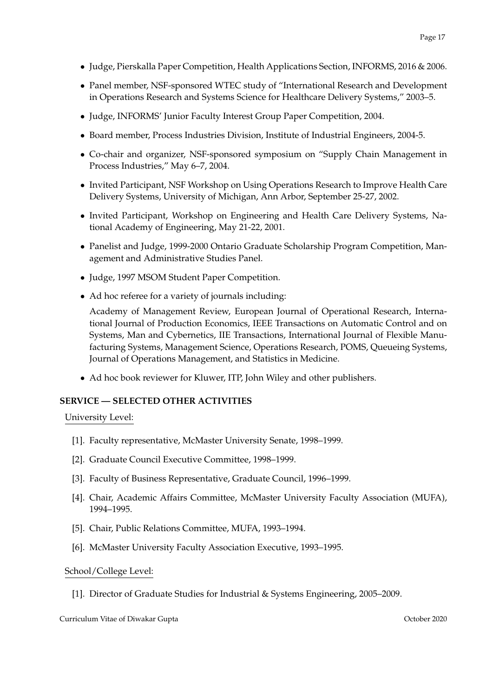- Judge, Pierskalla Paper Competition, Health Applications Section, INFORMS, 2016 & 2006.
- Panel member, NSF-sponsored WTEC study of "International Research and Development in Operations Research and Systems Science for Healthcare Delivery Systems," 2003–5.
- Judge, INFORMS' Junior Faculty Interest Group Paper Competition, 2004.
- Board member, Process Industries Division, Institute of Industrial Engineers, 2004-5.
- Co-chair and organizer, NSF-sponsored symposium on "Supply Chain Management in Process Industries," May 6–7, 2004.
- Invited Participant, NSF Workshop on Using Operations Research to Improve Health Care Delivery Systems, University of Michigan, Ann Arbor, September 25-27, 2002.
- Invited Participant, Workshop on Engineering and Health Care Delivery Systems, National Academy of Engineering, May 21-22, 2001.
- Panelist and Judge, 1999-2000 Ontario Graduate Scholarship Program Competition, Management and Administrative Studies Panel.
- Judge, 1997 MSOM Student Paper Competition.
- Ad hoc referee for a variety of journals including:

Academy of Management Review, European Journal of Operational Research, International Journal of Production Economics, IEEE Transactions on Automatic Control and on Systems, Man and Cybernetics, IIE Transactions, International Journal of Flexible Manufacturing Systems, Management Science, Operations Research, POMS, Queueing Systems, Journal of Operations Management, and Statistics in Medicine.

• Ad hoc book reviewer for Kluwer, ITP, John Wiley and other publishers.

# **SERVICE — SELECTED OTHER ACTIVITIES**

# University Level:

- [1]. Faculty representative, McMaster University Senate, 1998–1999.
- [2]. Graduate Council Executive Committee, 1998–1999.
- [3]. Faculty of Business Representative, Graduate Council, 1996–1999.
- [4]. Chair, Academic Affairs Committee, McMaster University Faculty Association (MUFA), 1994–1995.
- [5]. Chair, Public Relations Committee, MUFA, 1993–1994.
- [6]. McMaster University Faculty Association Executive, 1993–1995.

### School/College Level:

[1]. Director of Graduate Studies for Industrial & Systems Engineering, 2005–2009.